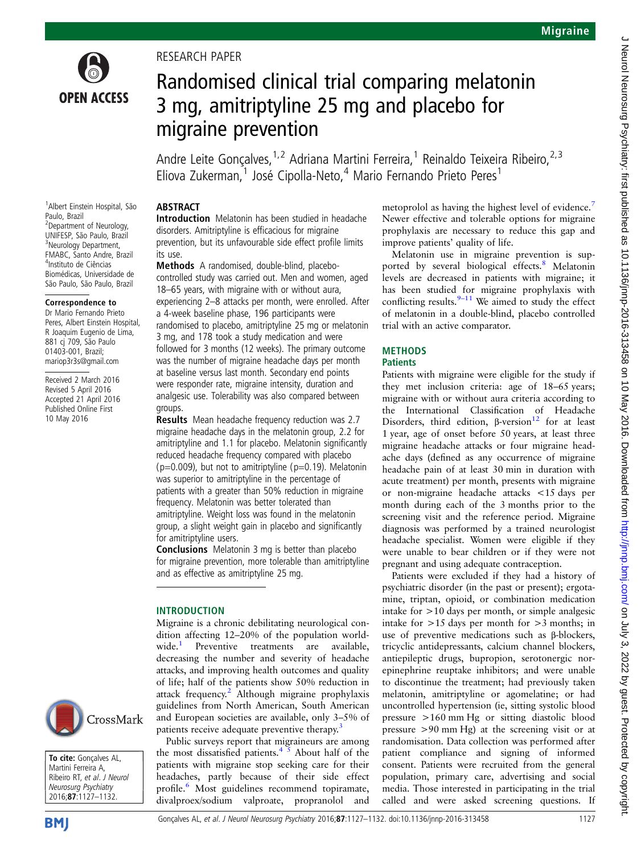

### RESEARCH PAPER

# Randomised clinical trial comparing melatonin 3 mg, amitriptyline 25 mg and placebo for migraine prevention

Andre Leite Goncalves, <sup>1,2</sup> Adriana Martini Ferreira, <sup>1</sup> Reinaldo Teixeira Ribeiro, <sup>2,3</sup> Eliova Zukerman, $1$  José Cipolla-Neto, $4$  Mario Fernando Prieto Peres<sup>1</sup>

### ABSTRACT

1 Albert Einstein Hospital, São Paulo, Brazil <sup>2</sup> Department of Neurology, UNIFESP, São Paulo, Brazil <sup>3</sup>Neurology Department, FMABC, Santo Andre, Brazil 4 Instituto de Ciências Biomédicas, Universidade de São Paulo, São Paulo, Brazil

#### Correspondence to

Dr Mario Fernando Prieto Peres, Albert Einstein Hospital, R Joaquim Eugenio de Lima, 881 cj 709, São Paulo 01403-001, Brazil; mariop3r3s@gmail.com

Received 2 March 2016 Revised 5 April 2016 Accepted 21 April 2016 Published Online First 10 May 2016

### Introduction Melatonin has been studied in headache disorders. Amitriptyline is efficacious for migraine prevention, but its unfavourable side effect profile limits its use.

Methods A randomised, double-blind, placebocontrolled study was carried out. Men and women, aged 18–65 years, with migraine with or without aura, experiencing 2–8 attacks per month, were enrolled. After a 4-week baseline phase, 196 participants were randomised to placebo, amitriptyline 25 mg or melatonin 3 mg, and 178 took a study medication and were followed for 3 months (12 weeks). The primary outcome was the number of migraine headache days per month at baseline versus last month. Secondary end points were responder rate, migraine intensity, duration and analgesic use. Tolerability was also compared between groups.

Results Mean headache frequency reduction was 2.7 migraine headache days in the melatonin group, 2.2 for amitriptyline and 1.1 for placebo. Melatonin significantly reduced headache frequency compared with placebo ( $p=0.009$ ), but not to amitriptyline ( $p=0.19$ ). Melatonin was superior to amitriptyline in the percentage of patients with a greater than 50% reduction in migraine frequency. Melatonin was better tolerated than amitriptyline. Weight loss was found in the melatonin group, a slight weight gain in placebo and significantly for amitriptyline users.

Conclusions Melatonin 3 mg is better than placebo for migraine prevention, more tolerable than amitriptyline and as effective as amitriptyline 25 mg.

#### INTRODUCTION

Migraine is a chronic debilitating neurological condition affecting 12–20% of the population world-<br>wide.<sup>1</sup> Preventive treatments are available. Preventive treatments are available, decreasing the number and severity of headache attacks, and improving health outcomes and quality of life; half of the patients show 50% reduction in attack frequency.<sup>[2](#page-5-0)</sup> Although migraine prophylaxis guidelines from North American, South American and European societies are available, only 3–5% of patients receive adequate preventive therapy.<sup>[3](#page-5-0)</sup>

Public surveys report that migraineurs are among the most dissatisfied patients.<sup>4</sup>  $\rightarrow$  About half of the patients with migraine stop seeking care for their headaches, partly because of their side effect profile.<sup>[6](#page-5-0)</sup> Most guidelines recommend topiramate, divalproex/sodium valproate, propranolol and

metoprolol as having the highest level of evidence.<sup>[7](#page-5-0)</sup> Newer effective and tolerable options for migraine prophylaxis are necessary to reduce this gap and improve patients' quality of life.

Melatonin use in migraine prevention is sup-ported by several biological effects.<sup>[8](#page-5-0)</sup> Melatonin levels are decreased in patients with migraine; it has been studied for migraine prophylaxis with conflicting results. $9-11$  $9-11$  We aimed to study the effect of melatonin in a double-blind, placebo controlled trial with an active comparator.

### **METHODS**

#### **Patients**

Patients with migraine were eligible for the study if they met inclusion criteria: age of 18–65 years; migraine with or without aura criteria according to the International Classification of Headache Disorders, third edition,  $\beta$ -version<sup>[12](#page-5-0)</sup> for at least 1 year, age of onset before 50 years, at least three migraine headache attacks or four migraine headache days (defined as any occurrence of migraine headache pain of at least 30 min in duration with acute treatment) per month, presents with migraine or non-migraine headache attacks <15 days per month during each of the 3 months prior to the screening visit and the reference period. Migraine diagnosis was performed by a trained neurologist headache specialist. Women were eligible if they were unable to bear children or if they were not pregnant and using adequate contraception.

Patients were excluded if they had a history of psychiatric disorder (in the past or present); ergotamine, triptan, opioid, or combination medication intake for >10 days per month, or simple analgesic intake for  $>15$  days per month for  $>3$  months; in use of preventive medications such as β-blockers, tricyclic antidepressants, calcium channel blockers, antiepileptic drugs, bupropion, serotonergic norepinephrine reuptake inhibitors; and were unable to discontinue the treatment; had previously taken melatonin, amitriptyline or agomelatine; or had uncontrolled hypertension (ie, sitting systolic blood pressure >160 mm Hg or sitting diastolic blood pressure >90 mm Hg) at the screening visit or at randomisation. Data collection was performed after patient compliance and signing of informed consent. Patients were recruited from the general population, primary care, advertising and social media. Those interested in participating in the trial called and were asked screening questions. If



To cite: Gonçalves AL, Martini Ferreira A, Ribeiro RT, et al. J Neurol Neurosurg Psychiatry 2016;87:1127–1132.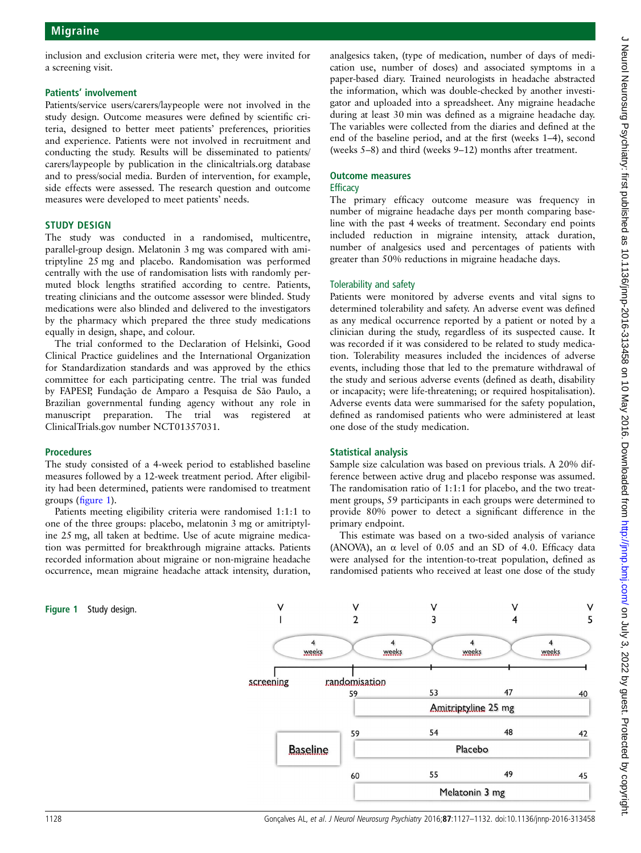### Patients' involvement

Patients/service users/carers/laypeople were not involved in the study design. Outcome measures were defined by scientific criteria, designed to better meet patients' preferences, priorities and experience. Patients were not involved in recruitment and conducting the study. Results will be disseminated to patients/ carers/laypeople by publication in the clinicaltrials.org database and to press/social media. Burden of intervention, for example, side effects were assessed. The research question and outcome measures were developed to meet patients' needs.

### STUDY DESIGN

The study was conducted in a randomised, multicentre, parallel-group design. Melatonin 3 mg was compared with amitriptyline 25 mg and placebo. Randomisation was performed centrally with the use of randomisation lists with randomly permuted block lengths stratified according to centre. Patients, treating clinicians and the outcome assessor were blinded. Study medications were also blinded and delivered to the investigators by the pharmacy which prepared the three study medications equally in design, shape, and colour.

The trial conformed to the Declaration of Helsinki, Good Clinical Practice guidelines and the International Organization for Standardization standards and was approved by the ethics committee for each participating centre. The trial was funded by FAPESP, Fundação de Amparo a Pesquisa de São Paulo, a Brazilian governmental funding agency without any role in manuscript preparation. The trial was registered at ClinicalTrials.gov number NCT01357031.

### Procedures

The study consisted of a 4-week period to established baseline measures followed by a 12-week treatment period. After eligibility had been determined, patients were randomised to treatment groups (figure 1).

Patients meeting eligibility criteria were randomised 1:1:1 to one of the three groups: placebo, melatonin 3 mg or amitriptyline 25 mg, all taken at bedtime. Use of acute migraine medication was permitted for breakthrough migraine attacks. Patients recorded information about migraine or non-migraine headache occurrence, mean migraine headache attack intensity, duration,

analgesics taken, (type of medication, number of days of medication use, number of doses) and associated symptoms in a paper-based diary. Trained neurologists in headache abstracted the information, which was double-checked by another investigator and uploaded into a spreadsheet. Any migraine headache during at least 30 min was defined as a migraine headache day. The variables were collected from the diaries and defined at the end of the baseline period, and at the first (weeks 1–4), second (weeks 5–8) and third (weeks 9–12) months after treatment.

#### Outcome measures **Efficacy**

The primary efficacy outcome measure was frequency in number of migraine headache days per month comparing baseline with the past 4 weeks of treatment. Secondary end points included reduction in migraine intensity, attack duration, number of analgesics used and percentages of patients with greater than 50% reductions in migraine headache days.

### Tolerability and safety

Patients were monitored by adverse events and vital signs to determined tolerability and safety. An adverse event was defined as any medical occurrence reported by a patient or noted by a clinician during the study, regardless of its suspected cause. It was recorded if it was considered to be related to study medication. Tolerability measures included the incidences of adverse events, including those that led to the premature withdrawal of the study and serious adverse events (defined as death, disability or incapacity; were life-threatening; or required hospitalisation). Adverse events data were summarised for the safety population, defined as randomised patients who were administered at least one dose of the study medication.

### Statistical analysis

Sample size calculation was based on previous trials. A 20% difference between active drug and placebo response was assumed. The randomisation ratio of 1:1:1 for placebo, and the two treatment groups, 59 participants in each groups were determined to provide 80% power to detect a significant difference in the primary endpoint.

This estimate was based on a two-sided analysis of variance (ANOVA), an  $\alpha$  level of 0.05 and an SD of 4.0. Efficacy data were analysed for the intention-to-treat population, defined as randomised patients who received at least one dose of the study



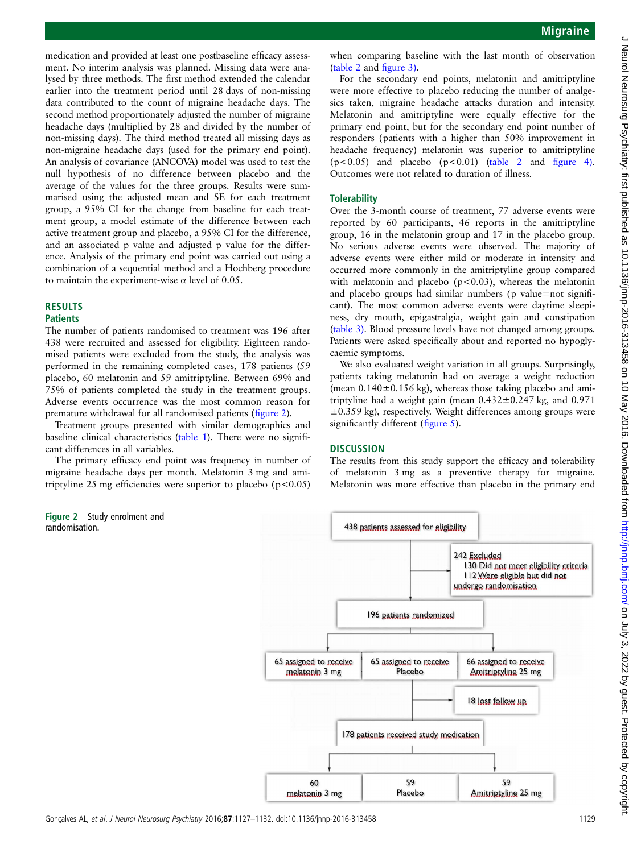medication and provided at least one postbaseline efficacy assessment. No interim analysis was planned. Missing data were analysed by three methods. The first method extended the calendar earlier into the treatment period until 28 days of non-missing data contributed to the count of migraine headache days. The second method proportionately adjusted the number of migraine headache days (multiplied by 28 and divided by the number of non-missing days). The third method treated all missing days as non-migraine headache days (used for the primary end point). An analysis of covariance (ANCOVA) model was used to test the null hypothesis of no difference between placebo and the average of the values for the three groups. Results were summarised using the adjusted mean and SE for each treatment group, a 95% CI for the change from baseline for each treatment group, a model estimate of the difference between each active treatment group and placebo, a 95% CI for the difference, and an associated p value and adjusted p value for the difference. Analysis of the primary end point was carried out using a combination of a sequential method and a Hochberg procedure to maintain the experiment-wise α level of 0.05.

## RESULTS

#### **Patients**

The number of patients randomised to treatment was 196 after 438 were recruited and assessed for eligibility. Eighteen randomised patients were excluded from the study, the analysis was performed in the remaining completed cases, 178 patients (59 placebo, 60 melatonin and 59 amitriptyline. Between 69% and 75% of patients completed the study in the treatment groups. Adverse events occurrence was the most common reason for premature withdrawal for all randomised patients (figure 2).

Treatment groups presented with similar demographics and baseline clinical characteristics ([table 1\)](#page-3-0). There were no significant differences in all variables.

The primary efficacy end point was frequency in number of migraine headache days per month. Melatonin 3 mg and amitriptyline 25 mg efficiencies were superior to placebo ( $p$ <0.05)

Figure 2 Study enrolment and randomisation.

when comparing baseline with the last month of observation ([table 2](#page-3-0) and fi[gure 3\)](#page-4-0).

For the secondary end points, melatonin and amitriptyline were more effective to placebo reducing the number of analgesics taken, migraine headache attacks duration and intensity. Melatonin and amitriptyline were equally effective for the primary end point, but for the secondary end point number of responders (patients with a higher than 50% improvement in headache frequency) melatonin was superior to amitriptyline  $(p<0.05)$  and placebo  $(p<0.01)$  ([table 2](#page-3-0) and fi[gure 4\).](#page-4-0) Outcomes were not related to duration of illness.

### **Tolerability**

Over the 3-month course of treatment, 77 adverse events were reported by 60 participants, 46 reports in the amitriptyline group, 16 in the melatonin group and 17 in the placebo group. No serious adverse events were observed. The majority of adverse events were either mild or moderate in intensity and occurred more commonly in the amitriptyline group compared with melatonin and placebo ( $p < 0.03$ ), whereas the melatonin and placebo groups had similar numbers (p value=not significant). The most common adverse events were daytime sleepiness, dry mouth, epigastralgia, weight gain and constipation ([table 3\)](#page-4-0). Blood pressure levels have not changed among groups. Patients were asked specifically about and reported no hypoglycaemic symptoms.

We also evaluated weight variation in all groups. Surprisingly, patients taking melatonin had on average a weight reduction (mean  $0.140 \pm 0.156$  kg), whereas those taking placebo and amitriptyline had a weight gain (mean  $0.432 \pm 0.247$  kg, and  $0.971$  $\pm$ 0.359 kg), respectively. Weight differences among groups were significantly different (fi[gure 5](#page-5-0)).

### **DISCUSSION**

The results from this study support the efficacy and tolerability of melatonin 3 mg as a preventive therapy for migraine. Melatonin was more effective than placebo in the primary end

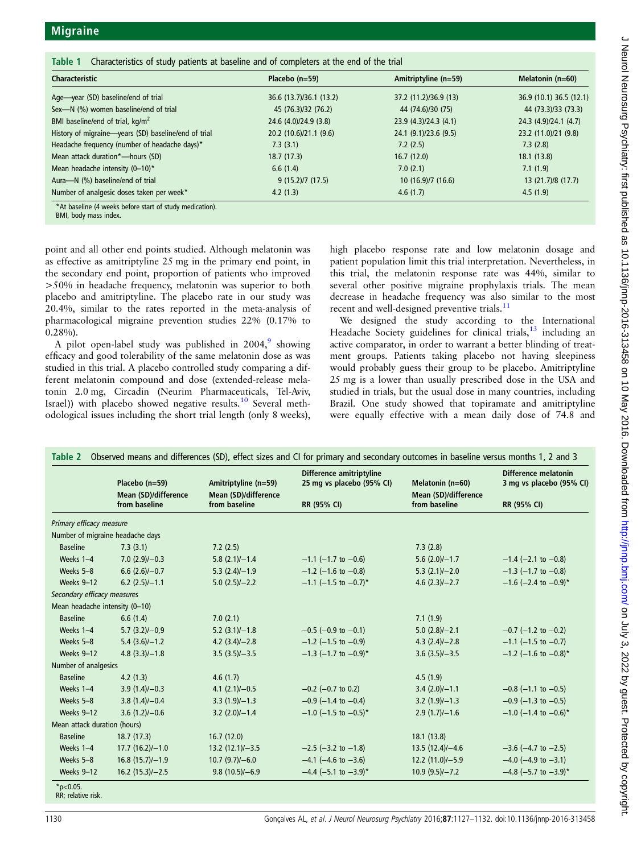<span id="page-3-0"></span>

| <b>Characteristic</b>                                | Placebo $(n=59)$        | Amitriptyline (n=59)  | Melatonin (n=60)        |
|------------------------------------------------------|-------------------------|-----------------------|-------------------------|
| Age—year (SD) baseline/end of trial                  | 36.6 (13.7)/36.1 (13.2) | 37.2 (11.2)/36.9 (13) | 36.9 (10.1) 36.5 (12.1) |
| Sex-N (%) women baseline/end of trial                | 45 (76.3)/32 (76.2)     | 44 (74.6)/30 (75)     | 44 (73.3)/33 (73.3)     |
| BMI baseline/end of trial, kg/m <sup>2</sup>         | 24.6 (4.0)/24.9 (3.8)   | 23.9 (4.3)/24.3 (4.1) | 24.3 (4.9)/24.1 (4.7)   |
| History of migraine-years (SD) baseline/end of trial | 20.2 (10.6)/21.1 (9.6)  | 24.1 (9.1)/23.6 (9.5) | 23.2 (11.0)/21 (9.8)    |
| Headache frequency (number of headache days)*        | 7.3(3.1)                | 7.2(2.5)              | 7.3(2.8)                |
| Mean attack duration*-hours (SD)                     | 18.7(17.3)              | 16.7(12.0)            | 18.1(13.8)              |
| Mean headache intensity (0-10)*                      | 6.6(1.4)                | 7.0(2.1)              | 7.1(1.9)                |
| Aura-N (%) baseline/end of trial                     | 9(15.2)/7(17.5)         | 10(16.9)/7(16.6)      | 13 (21.7)/8 (17.7)      |
| Number of analgesic doses taken per week*            | 4.2(1.3)                | 4.6(1.7)              | 4.5(1.9)                |

BMI, body mass index.

point and all other end points studied. Although melatonin was as effective as amitriptyline 25 mg in the primary end point, in the secondary end point, proportion of patients who improved >50% in headache frequency, melatonin was superior to both placebo and amitriptyline. The placebo rate in our study was 20.4%, similar to the rates reported in the meta-analysis of pharmacological migraine prevention studies 22% (0.17% to 0.28%).

A pilot open-label study was published in  $2004$ , showing efficacy and good tolerability of the same melatonin dose as was studied in this trial. A placebo controlled study comparing a different melatonin compound and dose (extended-release melatonin 2.0 mg, Circadin (Neurim Pharmaceuticals, Tel-Aviv, Israel)) with placebo showed negative results.<sup>[10](#page-5-0)</sup> Several methodological issues including the short trial length (only 8 weeks),

high placebo response rate and low melatonin dosage and patient population limit this trial interpretation. Nevertheless, in this trial, the melatonin response rate was 44%, similar to several other positive migraine prophylaxis trials. The mean decrease in headache frequency was also similar to the most recent and well-designed preventive trials.<sup>[11](#page-5-0)</sup>

We designed the study according to the International Headache Society guidelines for clinical trials, $13$  including an active comparator, in order to warrant a better blinding of treatment groups. Patients taking placebo not having sleepiness would probably guess their group to be placebo. Amitriptyline 25 mg is a lower than usually prescribed dose in the USA and studied in trials, but the usual dose in many countries, including Brazil. One study showed that topiramate and amitriptyline were equally effective with a mean daily dose of 74.8 and

|                                | Placebo (n=59)<br>Mean (SD)/difference<br>from baseline | Amitriptyline (n=59)<br>Mean (SD)/difference<br>from baseline | Difference amitriptyline<br>25 mg vs placebo (95% CI)<br><b>RR (95% CI)</b> | Melatonin (n=60)<br>Mean (SD)/difference<br>from baseline | Difference melatonin<br>3 mg vs placebo (95% CI)<br>RR (95% CI) |
|--------------------------------|---------------------------------------------------------|---------------------------------------------------------------|-----------------------------------------------------------------------------|-----------------------------------------------------------|-----------------------------------------------------------------|
|                                |                                                         |                                                               |                                                                             |                                                           |                                                                 |
| Primary efficacy measure       |                                                         |                                                               |                                                                             |                                                           |                                                                 |
|                                | Number of migraine headache days                        |                                                               |                                                                             |                                                           |                                                                 |
| <b>Baseline</b>                | 7.3(3.1)                                                | 7.2(2.5)                                                      |                                                                             | 7.3(2.8)                                                  |                                                                 |
| Weeks 1-4                      | $7.0(2.9)/-0.3$                                         | $5.8(2.1)/-1.4$                                               | $-1.1$ (-1.7 to -0.6)                                                       | $5.6(2.0)/-1.7$                                           | $-1.4$ (-2.1 to -0.8)                                           |
| Weeks 5-8                      | $6.6(2.6)/-0.7$                                         | $5.3(2.4)/-1.9$                                               | $-1.2$ (-1.6 to -0.8)                                                       | $5.3(2.1)/-2.0$                                           | $-1.3$ (-1.7 to -0.8)                                           |
| Weeks 9-12                     | $6.2(2.5)/-1.1$                                         | $5.0(2.5)/-2.2$                                               | $-1.1$ (-1.5 to -0.7) <sup>*</sup>                                          | $4.6(2.3)/-2.7$                                           | $-1.6$ (-2.4 to -0.9) <sup>*</sup>                              |
| Secondary efficacy measures    |                                                         |                                                               |                                                                             |                                                           |                                                                 |
| Mean headache intensity (0-10) |                                                         |                                                               |                                                                             |                                                           |                                                                 |
| <b>Baseline</b>                | 6.6(1.4)                                                | 7.0(2.1)                                                      |                                                                             | 7.1(1.9)                                                  |                                                                 |
| Weeks 1-4                      | $5.7(3.2)/-0.9$                                         | $5.2(3.1)/-1.8$                                               | $-0.5$ (-0.9 to -0.1)                                                       | $5.0(2.8)/-2.1$                                           | $-0.7$ (-1.2 to $-0.2$ )                                        |
| Weeks 5-8                      | $5.4(3.6)/-1.2$                                         | $4.2(3.4)/-2.8$                                               | $-1.2$ (-1.5 to -0.9)                                                       | $4.3(2.4)/-2.8$                                           | $-1.1$ (-1.5 to -0.7)                                           |
| Weeks 9-12                     | $4.8(3.3)/-1.8$                                         | $3.5(3.5)/-3.5$                                               | $-1.3$ (-1.7 to $-0.9$ )*                                                   | $3.6(3.5)/-3.5$                                           | $-1.2$ (-1.6 to $-0.8$ )*                                       |
| Number of analgesics           |                                                         |                                                               |                                                                             |                                                           |                                                                 |
| <b>Baseline</b>                | 4.2(1.3)                                                | 4.6(1.7)                                                      |                                                                             | 4.5(1.9)                                                  |                                                                 |
| Weeks 1-4                      | $3.9(1.4)/-0.3$                                         | $4.1 (2.1)/-0.5$                                              | $-0.2$ (-0.7 to 0.2)                                                        | $3.4(2.0)/-1.1$                                           | $-0.8$ (-1.1 to $-0.5$ )                                        |
| Weeks 5-8                      | $3.8(1.4)/-0.4$                                         | $3.3(1.9)/-1.3$                                               | $-0.9$ (-1.4 to $-0.4$ )                                                    | $3.2(1.9)/-1.3$                                           | $-0.9$ (-1.3 to $-0.5$ )                                        |
| Weeks 9-12                     | $3.6(1.2)/-0.6$                                         | $3.2 (2.0)/-1.4$                                              | $-1.0$ (-1.5 to $-0.5$ )*                                                   | $2.9(1.7)/-1.6$                                           | $-1.0$ (-1.4 to -0.6)*                                          |
| Mean attack duration (hours)   |                                                         |                                                               |                                                                             |                                                           |                                                                 |
| <b>Baseline</b>                | 18.7(17.3)                                              | 16.7(12.0)                                                    |                                                                             | 18.1(13.8)                                                |                                                                 |
| Weeks 1-4                      | $17.7(16.2)/-1.0$                                       | $13.2 (12.1)/-3.5$                                            | $-2.5$ ( $-3.2$ to $-1.8$ )                                                 | $13.5(12.4)/-4.6$                                         | $-3.6$ ( $-4.7$ to $-2.5$ )                                     |
| Weeks 5-8                      | $16.8(15.7)/-1.9$                                       | $10.7(9.7)/-6.0$                                              | $-4.1$ (-4.6 to $-3.6$ )                                                    | $12.2(11.0)/-5.9$                                         | $-4.0$ ( $-4.9$ to $-3.1$ )                                     |
| Weeks 9-12                     | $16.2$ (15.3)/-2.5                                      | $9.8(10.5)/-6.9$                                              | $-4.4$ (-5.1 to $-3.9$ )*                                                   | $10.9(9.5)/-7.2$                                          | $-4.8$ (-5.7 to $-3.9$ )*                                       |

RR; relative risk.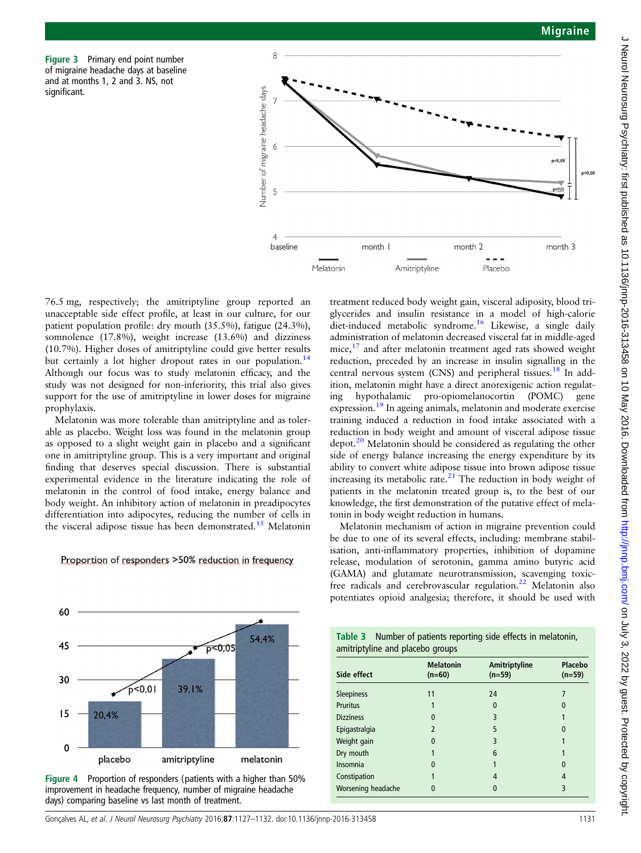<span id="page-4-0"></span>Figure 3 Primary end point number of migraine headache days at baseline and at months 1, 2 and 3. NS, not significant.



76.5 mg, respectively; the amitriptyline group reported an unacceptable side effect profile, at least in our culture, for our patient population profile: dry mouth (35.5%), fatigue (24.3%), somnolence (17.8%), weight increase (13.6%) and dizziness (10.7%). Higher doses of amitriptyline could give better results but certainly a lot higher dropout rates in our population.<sup>14</sup> Although our focus was to study melatonin efficacy, and the study was not designed for non-inferiority, this trial also gives support for the use of amitriptyline in lower doses for migraine prophylaxis.

Melatonin was more tolerable than amitriptyline and as tolerable as placebo. Weight loss was found in the melatonin group as opposed to a slight weight gain in placebo and a significant one in amitriptyline group. This is a very important and original finding that deserves special discussion. There is substantial experimental evidence in the literature indicating the role of melatonin in the control of food intake, energy balance and body weight. An inhibitory action of melatonin in preadipocytes differentiation into adipocytes, reducing the number of cells in the visceral adipose tissue has been demonstrated.<sup>[15](#page-5-0)</sup> Melatonin

Proportion of responders >50% reduction in frequency

treatment reduced body weight gain, visceral adiposity, blood triglycerides and insulin resistance in a model of high-calorie diet-induced metabolic syndrome.<sup>[16](#page-5-0)</sup> Likewise, a single daily administration of melatonin decreased visceral fat in middle-aged mice,<sup>[17](#page-5-0)</sup> and after melatonin treatment aged rats showed weight reduction, preceded by an increase in insulin signalling in the central nervous system (CNS) and peripheral tissues.<sup>[18](#page-5-0)</sup> In addition, melatonin might have a direct anorexigenic action regulating hypothalamic pro-opiomelanocortin (POMC) gene expression.[19](#page-5-0) In ageing animals, melatonin and moderate exercise training induced a reduction in food intake associated with a reduction in body weight and amount of visceral adipose tissue depot.<sup>20</sup> Melatonin should be considered as regulating the other side of energy balance increasing the energy expenditure by its ability to convert white adipose tissue into brown adipose tissue increasing its metabolic rate. $21$  The reduction in body weight of patients in the melatonin treated group is, to the best of our knowledge, the first demonstration of the putative effect of melatonin in body weight reduction in humans.

Melatonin mechanism of action in migraine prevention could be due to one of its several effects, including: membrane stabilisation, anti-inflammatory properties, inhibition of dopamine release, modulation of serotonin, gamma amino butyric acid (GAMA) and glutamate neurotransmission, scavenging toxic-free radicals and cerebrovascular regulation.<sup>[22](#page-5-0)</sup> Melatonin also potentiates opioid analgesia; therefore, it should be used with



Figure 4 Proportion of responders (patients with a higher than 50% improvement in headache frequency, number of migraine headache days) comparing baseline vs last month of treatment.

Table 3 Number of patients reporting side effects in melatonin, amitriptyline and placebo groups

| Side effect        | <b>Melatonin</b><br>$(n=60)$ | Amitriptyline<br>$(n=59)$ | Placebo<br>$(n=59)$ |
|--------------------|------------------------------|---------------------------|---------------------|
| <b>Sleepiness</b>  | 11                           | 24                        |                     |
| <b>Pruritus</b>    |                              | 0                         | 0                   |
| <b>Dizziness</b>   | 0                            | 3                         |                     |
| Epigastralgia      | 2                            | 5                         | 0                   |
| Weight gain        | 0                            | 3                         |                     |
| Dry mouth          |                              | 6                         |                     |
| <b>Insomnia</b>    | 0                            |                           | $\Omega$            |
| Constipation       |                              | 4                         | 4                   |
| Worsening headache | 0                            |                           | 3                   |
|                    |                              |                           |                     |